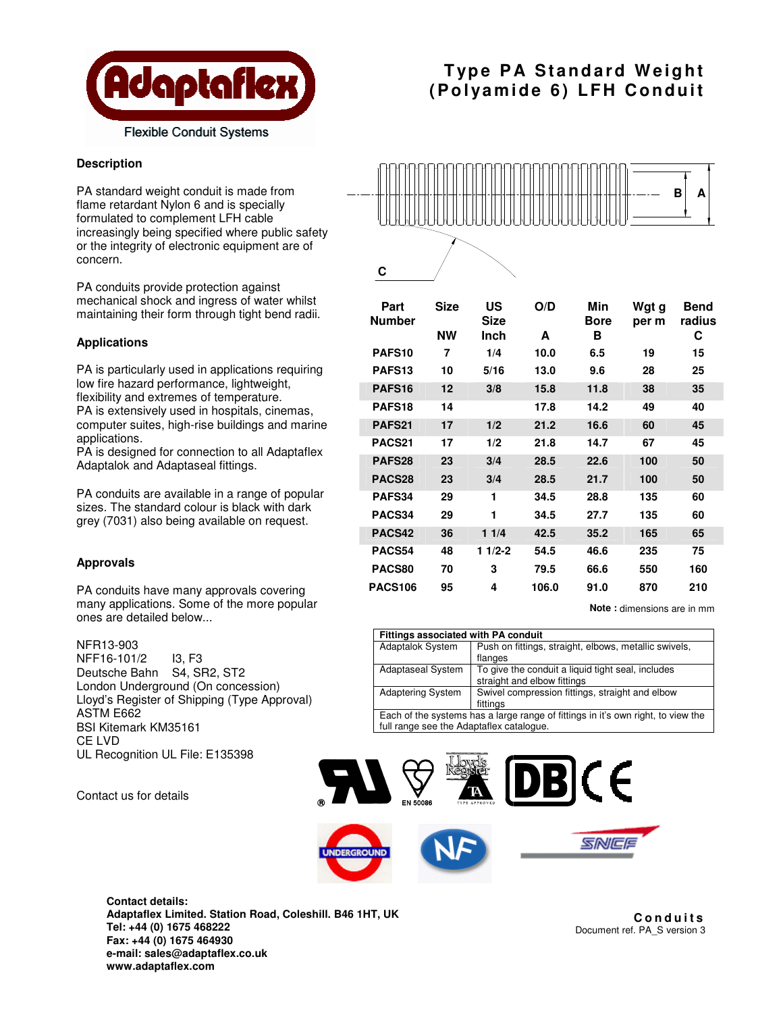

## **Description**

PA standard weight conduit is made from flame retardant Nylon 6 and is specially formulated to complement LFH cable increasingly being specified where public safety or the integrity of electronic equipment are of concern.

PA conduits provide protection against mechanical shock and ingress of water whilst maintaining their form through tight bend radii.

### **Applications**

PA is particularly used in applications requiring low fire hazard performance, lightweight, flexibility and extremes of temperature.

PA is extensively used in hospitals, cinemas, computer suites, high-rise buildings and marine applications.

PA is designed for connection to all Adaptaflex Adaptalok and Adaptaseal fittings.

PA conduits are available in a range of popular sizes. The standard colour is black with dark grey (7031) also being available on request.

### **Approvals**

PA conduits have many approvals covering many applications. Some of the more popular ones are detailed below...

#### NFR13-903

NFF16-101/2 I3, F3 Deutsche Bahn S4, SR2, ST2 London Underground (On concession) Lloyd's Register of Shipping (Type Approval) ASTM E662 BSI Kitemark KM35161 CE LVD UL Recognition UL File: E135398

Contact us for details

## **Type PA St anda rd We ight (Pol yam ide 6 ) LF H Conduit**



| Part<br><b>Number</b> | <b>Size</b> | US<br><b>Size</b> | O/D   | Min<br><b>Bore</b> | Wgt g<br>per m | <b>Bend</b><br>radius |
|-----------------------|-------------|-------------------|-------|--------------------|----------------|-----------------------|
|                       | <b>NW</b>   | Inch              | A     | В                  |                | С                     |
| PAFS <sub>10</sub>    | 7           | 1/4               | 10.0  | 6.5                | 19             | 15                    |
| PAFS <sub>13</sub>    | 10          | 5/16              | 13.0  | 9.6                | 28             | 25                    |
| PAFS <sub>16</sub>    | $12 \,$     | 3/8               | 15.8  | 11.8               | 38             | 35                    |
| PAFS <sub>18</sub>    | 14          |                   | 17.8  | 14.2               | 49             | 40                    |
| PAFS21                | 17          | 1/2               | 21.2  | 16.6               | 60             | 45                    |
| PACS <sub>21</sub>    | 17          | 1/2               | 21.8  | 14.7               | 67             | 45                    |
| PAFS28                | 23          | 3/4               | 28.5  | 22.6               | 100            | 50                    |
| PACS28                | 23          | 3/4               | 28.5  | 21.7               | 100            | 50                    |
| PAFS34                | 29          | 1                 | 34.5  | 28.8               | 135            | 60                    |
| PACS34                | 29          | 1                 | 34.5  | 27.7               | 135            | 60                    |
| PACS42                | 36          | 11/4              | 42.5  | 35.2               | 165            | 65                    |
| PACS54                | 48          | $11/2-2$          | 54.5  | 46.6               | 235            | 75                    |
| PACS80                | 70          | 3                 | 79.5  | 66.6               | 550            | 160                   |
| <b>PACS106</b>        | 95          | 4                 | 106.0 | 91.0               | 870            | 210                   |

**Note :** dimensions are in mm

| <b>Fittings associated with PA conduit</b>                                       |                                                       |  |  |  |
|----------------------------------------------------------------------------------|-------------------------------------------------------|--|--|--|
| <b>Adaptalok System</b>                                                          | Push on fittings, straight, elbows, metallic swivels, |  |  |  |
|                                                                                  | flanges                                               |  |  |  |
| To give the conduit a liguid tight seal, includes<br>Adaptaseal System           |                                                       |  |  |  |
|                                                                                  | straight and elbow fittings                           |  |  |  |
| <b>Adaptering System</b>                                                         | Swivel compression fittings, straight and elbow       |  |  |  |
|                                                                                  | fittings                                              |  |  |  |
| Each of the systems has a large range of fittings in it's own right, to view the |                                                       |  |  |  |
| full range see the Adaptaflex catalogue.                                         |                                                       |  |  |  |



**Contact details: Adaptaflex Limited. Station Road, Coleshill. B46 1HT, UK Tel: +44 (0) 1675 468222 Fax: +44 (0) 1675 464930 e-mail: sales@adaptaflex.co.uk www.adaptaflex.com**

**C o n d u i t s** Document ref. PA\_S version 3